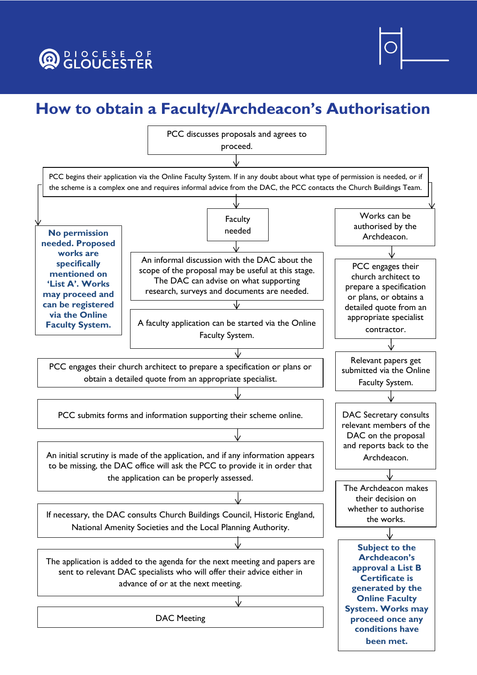## **O CLOUCESTER**



## **How to obtain a Faculty/Archdeacon's Authorisation**